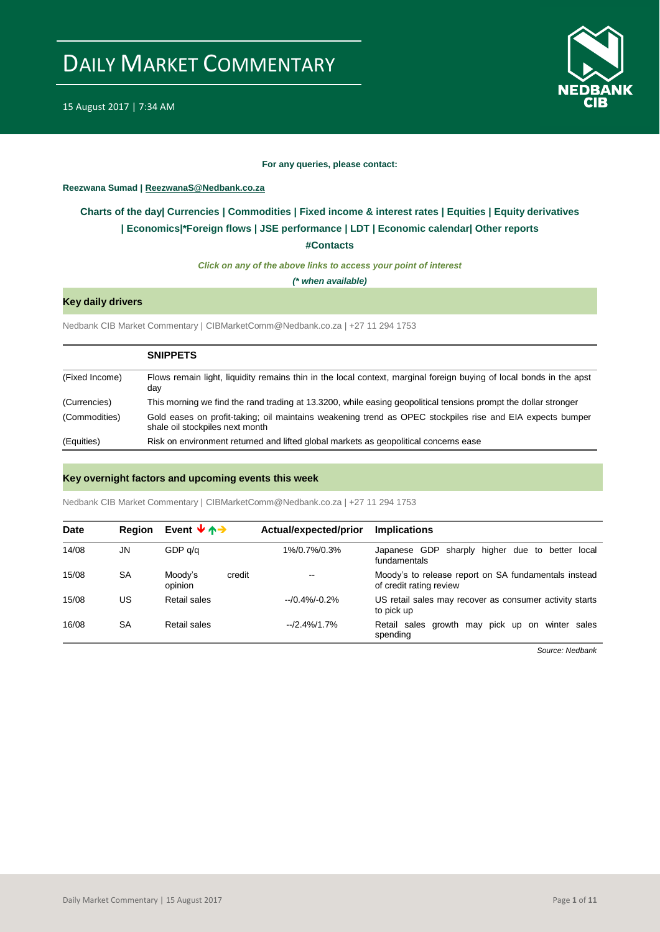

#### **For any queries, please contact:**

#### <span id="page-0-0"></span>**Reezwana Sumad | ReezwanaS@Nedbank.co.za**

### **Charts of the day| [Currencies](#page-2-0) [| Commodities](#page-3-0) | [Fixed income & interest rates](#page-1-0) | [Equities](#page-4-0) | Equity derivatives | Economics|[\\*Foreign flows](#page-7-0) [| JSE performance](#page-4-1) | [LDT](#page-5-0) | [Economic calendar|](#page-8-0) Other reports**

**[#Contacts](#page-9-0)**

*Click on any of the above links to access your point of interest*

*(\* when available)*

#### **Key daily drivers**

Nedbank CIB Market Commentary | CIBMarketComm@Nedbank.co.za | +27 11 294 1753

|                | <b>SNIPPETS</b>                                                                                                                              |
|----------------|----------------------------------------------------------------------------------------------------------------------------------------------|
| (Fixed Income) | Flows remain light, liquidity remains thin in the local context, marginal foreign buying of local bonds in the apst<br>day                   |
| (Currencies)   | This morning we find the rand trading at 13.3200, while easing geopolitical tensions prompt the dollar stronger                              |
| (Commodities)  | Gold eases on profit-taking; oil maintains weakening trend as OPEC stockpiles rise and EIA expects bumper<br>shale oil stockpiles next month |
| (Equities)     | Risk on environment returned and lifted global markets as geopolitical concerns ease                                                         |

#### **Key overnight factors and upcoming events this week**

Nedbank CIB Market Commentary | CIBMarketComm@Nedbank.co.za | +27 11 294 1753

| <b>Date</b> | <b>Region</b> | Event $\forall \uparrow \rightarrow$ | Actual/expected/prior | <b>Implications</b>                                                             |
|-------------|---------------|--------------------------------------|-----------------------|---------------------------------------------------------------------------------|
| 14/08       | JN            | GDP q/q                              | 1%/0.7%/0.3%          | Japanese GDP<br>sharply higher due to better local<br>fundamentals              |
| 15/08       | <b>SA</b>     | Moody's<br>credit<br>opinion         | --                    | Moody's to release report on SA fundamentals instead<br>of credit rating review |
| 15/08       | US            | Retail sales                         | $-10.4\% - 0.2\%$     | US retail sales may recover as consumer activity starts<br>to pick up           |
| 16/08       | <b>SA</b>     | Retail sales                         | $-2.4\%/1.7\%$        | Retail sales growth may pick up on winter sales<br>spending                     |

*Source: Nedbank*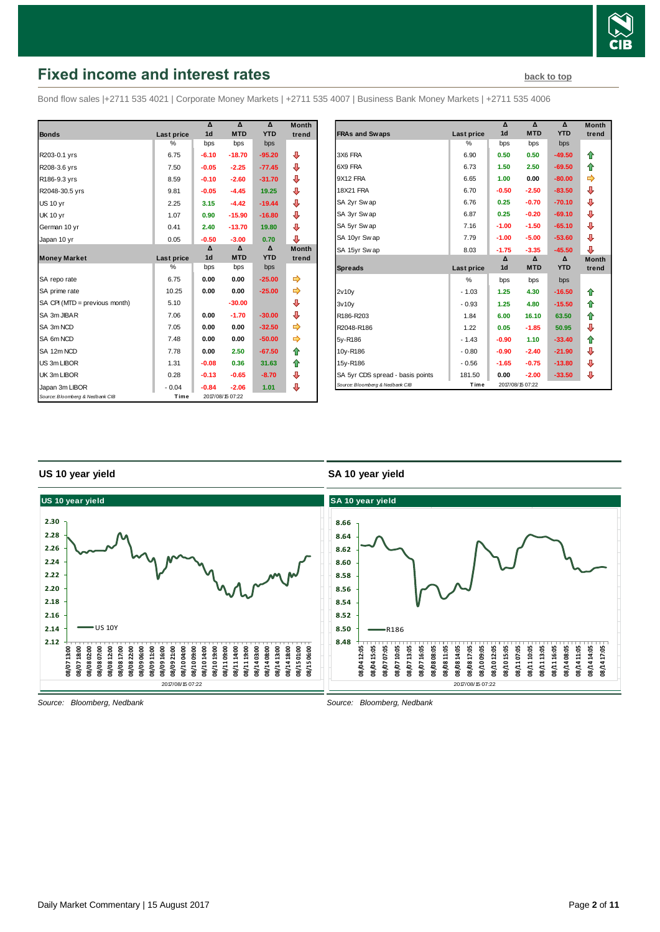

# <span id="page-1-0"></span>**Fixed income and interest rates [back to top](#page-0-0)** back to top

Bond flow sales |+2711 535 4021 | Corporate Money Markets | +2711 535 4007 | Business Bank Money Markets | +2711 535 4006

|                                 |               | Δ              | $\Lambda$        | $\Lambda$  | <b>Month</b> |
|---------------------------------|---------------|----------------|------------------|------------|--------------|
| <b>Bonds</b>                    | Last price    | 1 <sub>d</sub> | <b>MTD</b>       | <b>YTD</b> | trend        |
|                                 | $\frac{0}{0}$ | bps            | bps              | bps        |              |
| R203-0.1 yrs                    | 6.75          | $-6.10$        | $-18.70$         | $-95.20$   | ⊕            |
| R208-3.6 yrs                    | 7.50          | $-0.05$        | $-2.25$          | $-77.45$   | ⊕            |
| R186-9.3 yrs                    | 8.59          | $-0.10$        | $-2.60$          | $-31.70$   | ⊕            |
| R2048-30.5 yrs                  | 9.81          | $-0.05$        | $-4.45$          | 19.25      | ⇩            |
| <b>US 10 yr</b>                 | 2.25          | 3.15           | $-4.42$          | $-19.44$   | ⊕            |
| <b>UK 10 yr</b>                 | 1.07          | 0.90           | $-15.90$         | $-16.80$   | ⊕            |
| German 10 yr                    | 0.41          | 2.40           | $-13.70$         | 19.80      | ⊕            |
| Japan 10 yr                     | 0.05          | $-0.50$        | $-3.00$          | 0.70       | ⊕            |
|                                 |               | Δ              | Δ                | Δ          | <b>Month</b> |
| <b>Money Market</b>             | Last price    | 1 <sub>d</sub> | <b>MTD</b>       | <b>YTD</b> | trend        |
|                                 | %             | bps            | bps              | bps        |              |
| SA repo rate                    | 6.75          | 0.00           | 0.00             | $-25.00$   | ⇛            |
| SA prime rate                   | 10.25         | 0.00           | 0.00             | $-25.00$   |              |
| SA CPI (MTD = previous month)   | 5.10          |                | $-30.00$         |            | ⊕            |
| SA 3m JIBAR                     | 7.06          | 0.00           | $-1.70$          | $-30.00$   | ⊕            |
| SA 3m NCD                       | 7.05          | 0.00           | 0.00             | $-32.50$   |              |
| SA 6m NCD                       | 7.48          | 0.00           | 0.00             | $-50.00$   |              |
| SA 12m NCD                      | 7.78          | 0.00           | 2.50             | $-67.50$   | ⇑            |
| US 3m LIBOR                     | 1.31          | $-0.08$        | 0.36             | 31.63      | ⇑            |
| UK 3m LIBOR                     | 0.28          | $-0.13$        | $-0.65$          | $-8.70$    | ⊕            |
| Japan 3m LIBOR                  | $-0.04$       | $-0.84$        | $-2.06$          | 1.01       | ⊕            |
| Source: Bloomberg & Nedbank CIB | Time          |                | 2017/08/15 07:22 |            |              |

|                                    |               | Δ              | Δ                | Δ          | <b>Month</b> |
|------------------------------------|---------------|----------------|------------------|------------|--------------|
| <b>FRAs and Swaps</b>              | Last price    | 1 <sub>d</sub> | <b>MTD</b>       | <b>YTD</b> | trend        |
|                                    | $\frac{0}{0}$ | bps            | bps              | bps        |              |
| 3X6 FRA                            | 6.90          | 0.50           | 0.50             | $-49.50$   | ⇑            |
| 6X9 FRA                            | 6.73          | 1.50           | 2.50             | $-69.50$   | ⇑            |
| 9X12 FRA                           | 6.65          | 1.00           | 0.00             | $-80.00$   | ⇛            |
| <b>18X21 FRA</b>                   | 6.70          | $-0.50$        | $-2.50$          | $-83.50$   | ⊕            |
| SA 2yr Swap                        | 6.76          | 0.25           | $-0.70$          | $-70.10$   | ⊕            |
| SA 3yr Swap                        | 6.87          | 0.25           | $-0.20$          | $-69.10$   | ⇩            |
| SA 5yr Swap                        | 7.16          | $-1.00$        | $-1.50$          | $-65.10$   | ⊕            |
| SA 10yr Swap                       | 7.79          | $-1.00$        | $-5.00$          | $-53.60$   | ⊕            |
| SA 15yr Swap                       | 8.03          | $-1.75$        | $-3.35$          | $-45.50$   | ⊕            |
|                                    |               | $\Lambda$      | $\Lambda$        | $\Lambda$  | <b>Month</b> |
| <b>Spreads</b>                     | Last price    | 1 <sub>d</sub> | <b>MTD</b>       | <b>YTD</b> | trend        |
|                                    | $\frac{0}{0}$ | bps            | bps              | bps        |              |
| 2v10v                              | $-1.03$       | 1.25           | 4.30             | $-16.50$   | ⇑            |
| 3v10v                              | $-0.93$       | 1.25           | 4.80             | $-15.50$   | ⇑            |
| R <sub>186</sub> -R <sub>203</sub> | 1.84          | 6.00           | 16.10            | 63.50      | ⇑            |
| R2048-R186                         | 1.22          | 0.05           | $-1.85$          | 50.95      | ⊕            |
| 5y-R186                            | $-1.43$       | $-0.90$        | 1.10             | $-33.40$   | ⇑            |
| 10v-R186                           | $-0.80$       | $-0.90$        | $-2.40$          | $-21.90$   | ⊕            |
| 15y-R186                           | $-0.56$       | $-1.65$        | $-0.75$          | $-13.80$   | ⊕            |
| SA 5yr CDS spread - basis points   | 181.50        | 0.00           | $-2.00$          | $-33.50$   | ⊕            |
| Source: Bloomberg & Nedbank CIB    | Time          |                | 2017/08/15 07:22 |            |              |

#### **US 10 year yield**

#### **SA 10 year yield**



*Source: Bloomberg, Nedbank*

Daily Market Commentary | 15 August 2017 Page **2** of **11**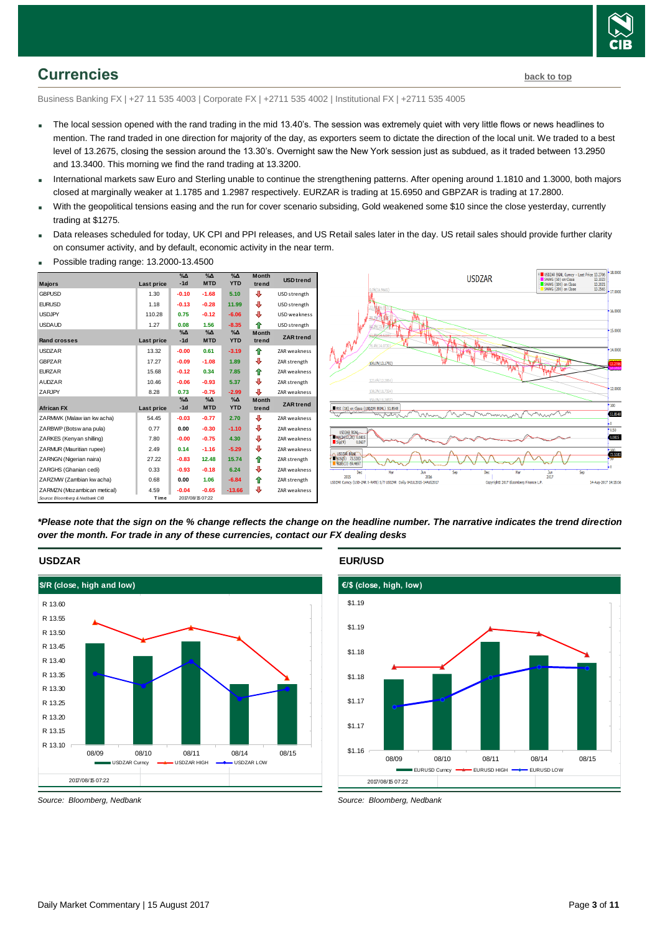

### <span id="page-2-0"></span>**Currencies [back to top](#page-0-0)**

Business Banking FX | +27 11 535 4003 | Corporate FX | +2711 535 4002 | Institutional FX | +2711 535 4005

- The local session opened with the rand trading in the mid 13.40's. The session was extremely quiet with very little flows or news headlines to mention. The rand traded in one direction for majority of the day, as exporters seem to dictate the direction of the local unit. We traded to a best level of 13.2675, closing the session around the 13.30's. Overnight saw the New York session just as subdued, as it traded between 13.2950 and 13.3400. This morning we find the rand trading at 13.3200.
- International markets saw Euro and Sterling unable to continue the strengthening patterns. After opening around 1.1810 and 1.3000, both majors closed at marginally weaker at 1.1785 and 1.2987 respectively. EURZAR is trading at 15.6950 and GBPZAR is trading at 17.2800.
- With the geopolitical tensions easing and the run for cover scenario subsiding, Gold weakened some \$10 since the close yesterday, currently trading at \$1275.
- Data releases scheduled for today, UK CPI and PPI releases, and US Retail sales later in the day. US retail sales should provide further clarity on consumer activity, and by default, economic activity in the near term.







*\*Please note that the sign on the % change reflects the change on the headline number. The narrative indicates the trend direction over the month. For trade in any of these currencies, contact our FX dealing desks*



**EUR/USD**



*Source: Bloomberg, Nedbank*

**USDZAR**

*Source: Bloomberg, Nedbank*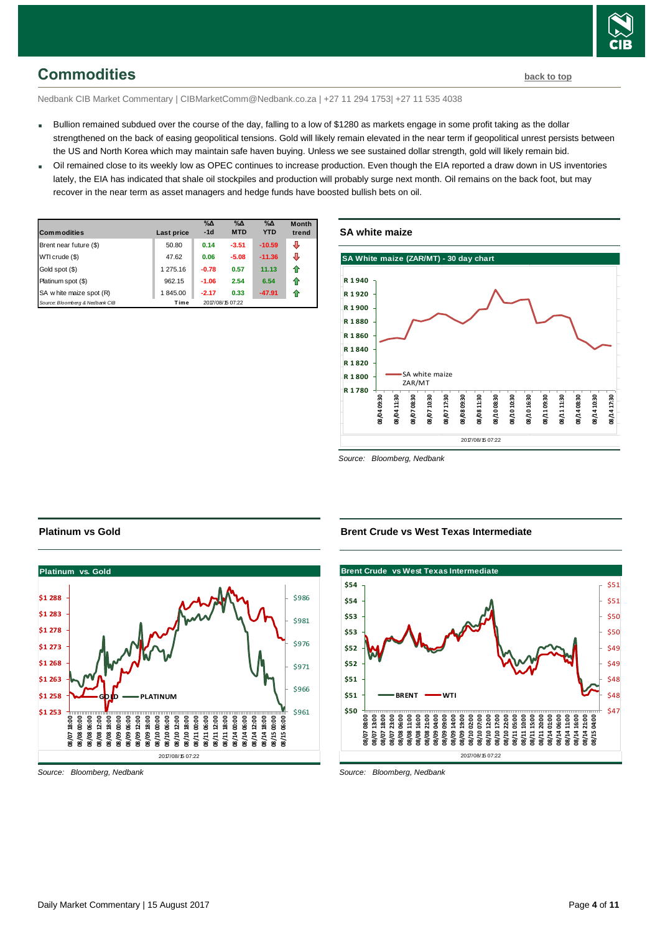

# <span id="page-3-0"></span>**Commodities [back to top](#page-0-0)**

Nedbank CIB Market Commentary | CIBMarketComm@Nedbank.co.za | +27 11 294 1753| +27 11 535 4038

- Bullion remained subdued over the course of the day, falling to a low of \$1280 as markets engage in some profit taking as the dollar strengthened on the back of easing geopolitical tensions. Gold will likely remain elevated in the near term if geopolitical unrest persists between the US and North Korea which may maintain safe haven buying. Unless we see sustained dollar strength, gold will likely remain bid.
- Oil remained close to its weekly low as OPEC continues to increase production. Even though the EIA reported a draw down in US inventories lately, the EIA has indicated that shale oil stockpiles and production will probably surge next month. Oil remains on the back foot, but may recover in the near term as asset managers and hedge funds have boosted bullish bets on oil.

| <b>Commodities</b>              | Last price | $\%$ $\Delta$<br>$-1d$ | $\%$ $\Delta$<br><b>MTD</b> | $\%$ $\Delta$<br><b>YTD</b> | <b>Month</b><br>trend |
|---------------------------------|------------|------------------------|-----------------------------|-----------------------------|-----------------------|
| Brent near future (\$)          | 50.80      | 0.14                   | $-3.51$                     | $-10.59$                    | ⊕                     |
| WTI crude (\$)                  | 47.62      | 0.06                   | $-5.08$                     | $-11.36$                    | ⊕                     |
| Gold spot (\$)                  | 1 275.16   | $-0.78$                | 0.57                        | 11.13                       | ⇑                     |
| Platinum spot (\$)              | 962.15     | $-1.06$                | 2.54                        | 6.54                        | ⇑                     |
| SA w hite maize spot (R)        | 1845.00    | $-2.17$                | 0.33                        | $-47.91$                    | ⇑                     |
| Source: Bloomberg & Nedbank CIB | Time       |                        | 2017/08/15 07:22            |                             |                       |

#### **SA white maize**



*Source: Bloomberg, Nedbank*



*Source: Bloomberg, Nedbank*

**Platinum vs Gold**

**Brent Crude vs West Texas Intermediate**



*Source: Bloomberg, Nedbank*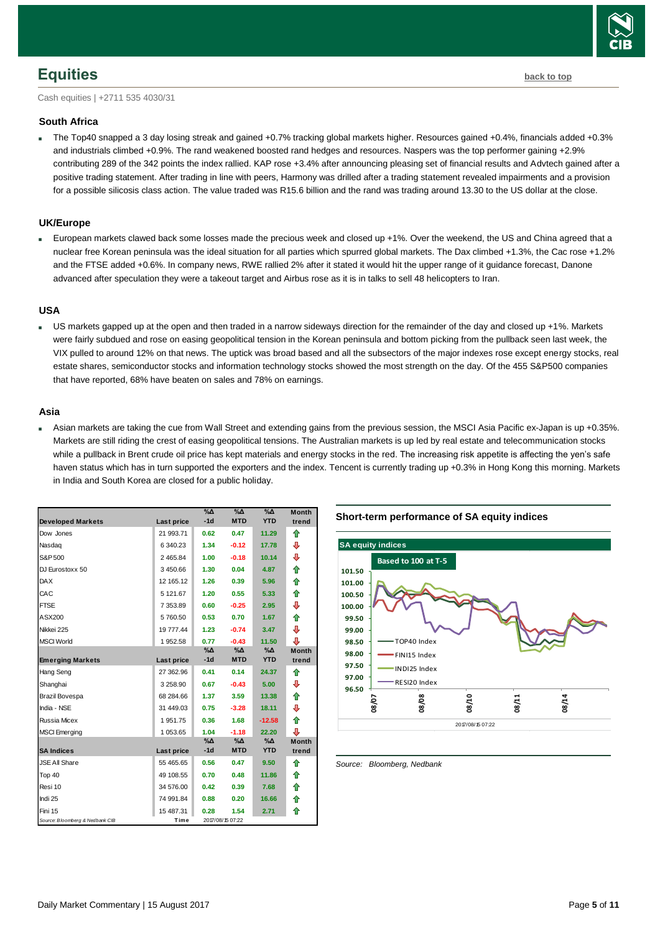# <span id="page-4-0"></span>**Equities [back to top](#page-0-0)**

Cash equities | +2711 535 4030/31

#### **South Africa**

 The Top40 snapped a 3 day losing streak and gained +0.7% tracking global markets higher. Resources gained +0.4%, financials added +0.3% and industrials climbed +0.9%. The rand weakened boosted rand hedges and resources. Naspers was the top performer gaining +2.9% contributing 289 of the 342 points the index rallied. KAP rose +3.4% after announcing pleasing set of financial results and Advtech gained after a positive trading statement. After trading in line with peers, Harmony was drilled after a trading statement revealed impairments and a provision for a possible silicosis class action. The value traded was R15.6 billion and the rand was trading around 13.30 to the US dollar at the close.

#### **UK/Europe**

 European markets clawed back some losses made the precious week and closed up +1%. Over the weekend, the US and China agreed that a nuclear free Korean peninsula was the ideal situation for all parties which spurred global markets. The Dax climbed +1.3%, the Cac rose +1.2% and the FTSE added +0.6%. In company news, RWE rallied 2% after it stated it would hit the upper range of it guidance forecast, Danone advanced after speculation they were a takeout target and Airbus rose as it is in talks to sell 48 helicopters to Iran.

#### **USA**

 US markets gapped up at the open and then traded in a narrow sideways direction for the remainder of the day and closed up +1%. Markets were fairly subdued and rose on easing geopolitical tension in the Korean peninsula and bottom picking from the pullback seen last week, the VIX pulled to around 12% on that news. The uptick was broad based and all the subsectors of the major indexes rose except energy stocks, real estate shares, semiconductor stocks and information technology stocks showed the most strength on the day. Of the 455 S&P500 companies that have reported, 68% have beaten on sales and 78% on earnings.

#### **Asia**

 Asian markets are taking the cue from Wall Street and extending gains from the previous session, the MSCI Asia Pacific ex-Japan is up +0.35%. Markets are still riding the crest of easing geopolitical tensions. The Australian markets is up led by real estate and telecommunication stocks while a pullback in Brent crude oil price has kept materials and energy stocks in the red. The increasing risk appetite is affecting the yen's safe haven status which has in turn supported the exporters and the index. Tencent is currently trading up +0.3% in Hong Kong this morning. Markets in India and South Korea are closed for a public holiday.

| <b>Developed Markets</b>        | Last price  | $\%$ $\Delta$<br>$-1d$ | $\sqrt{20}$<br><b>MTD</b> | $\%$ $\Delta$<br><b>YTD</b> | <b>Month</b><br>trend |
|---------------------------------|-------------|------------------------|---------------------------|-----------------------------|-----------------------|
| Dow Jones                       | 21 993.71   | 0.62                   | 0.47                      | 11.29                       | ⇑                     |
| Nasdag                          | 6 340.23    | 1.34                   | $-0.12$                   | 17.78                       | ⊕                     |
| S&P 500                         | 2 4 6 5.8 4 | 1.00                   | $-0.18$                   | 10.14                       | ⊕                     |
| DJ Eurostoxx 50                 | 3450.66     | 1.30                   | 0.04                      | 4.87                        | ⇑                     |
| <b>DAX</b>                      | 12 165.12   | 1.26                   | 0.39                      | 5.96                        | 合                     |
| CAC                             | 5 121.67    | 1.20                   | 0.55                      | 5.33                        | 合                     |
| <b>FTSE</b>                     | 7 353.89    | 0.60                   | $-0.25$                   | 2.95                        | ⊕                     |
| ASX200                          | 5760.50     | 0.53                   | 0.70                      | 1.67                        | ⇮                     |
| Nikkei 225                      | 19 777.44   | 1.23                   | $-0.74$                   | 3.47                        | ⊕                     |
| <b>MSCI World</b>               | 1952.58     | 0.77                   | $-0.43$                   | 11.50                       | ⊕                     |
|                                 |             | $\%$ $\Delta$<br>$-1d$ | %∆<br><b>MTD</b>          | %Δ<br><b>YTD</b>            | <b>Month</b>          |
| <b>Emerging Markets</b>         | Last price  |                        |                           |                             | trend                 |
| Hang Seng                       | 27 362.96   | 0.41                   | 0.14                      | 24.37                       | ⇑                     |
| Shanghai                        | 3 258.90    | 0.67                   | $-0.43$                   | 5.00                        | ⊕                     |
| Brazil Bovespa                  | 68 284.66   | 1.37                   | 3.59                      | 13.38                       | ⇑                     |
| India - NSE                     | 31 449.03   | 0.75                   | $-3.28$                   | 18.11                       | ⊕                     |
| Russia Micex                    | 1951.75     | 0.36                   | 1.68                      | $-12.58$                    | ⇑                     |
| <b>MSCI Emerging</b>            | 1 053.65    | 1.04                   | $-1.18$                   | 22.20                       | ⊕                     |
|                                 |             | $\%$ $\Delta$          | %∆                        | %∆<br><b>YTD</b>            | <b>Month</b>          |
| <b>SA Indices</b>               | Last price  | $-1d$                  | <b>MTD</b>                |                             | trend                 |
| <b>JSE All Share</b>            | 55 465.65   | 0.56                   | 0.47                      | 9.50                        | ⇑                     |
| Top 40                          | 49 108.55   | 0.70                   | 0.48                      | 11.86                       | ⇑                     |
| Resi 10                         | 34 576.00   | 0.42                   | 0.39                      | 7.68                        | ⇑                     |
| Indi 25                         | 74 991.84   | 0.88                   | 0.20                      | 16.66                       | ⇮                     |
| Fini 15                         | 15 487.31   | 0.28                   | 1.54                      | 2.71                        | ⇑                     |
| Source: Bloomberg & Nedbank CIB | Time        |                        | 2017/08/15 07:22          |                             |                       |

#### **Short-term performance of SA equity indices**



<span id="page-4-1"></span>*Source: Bloomberg, Nedbank*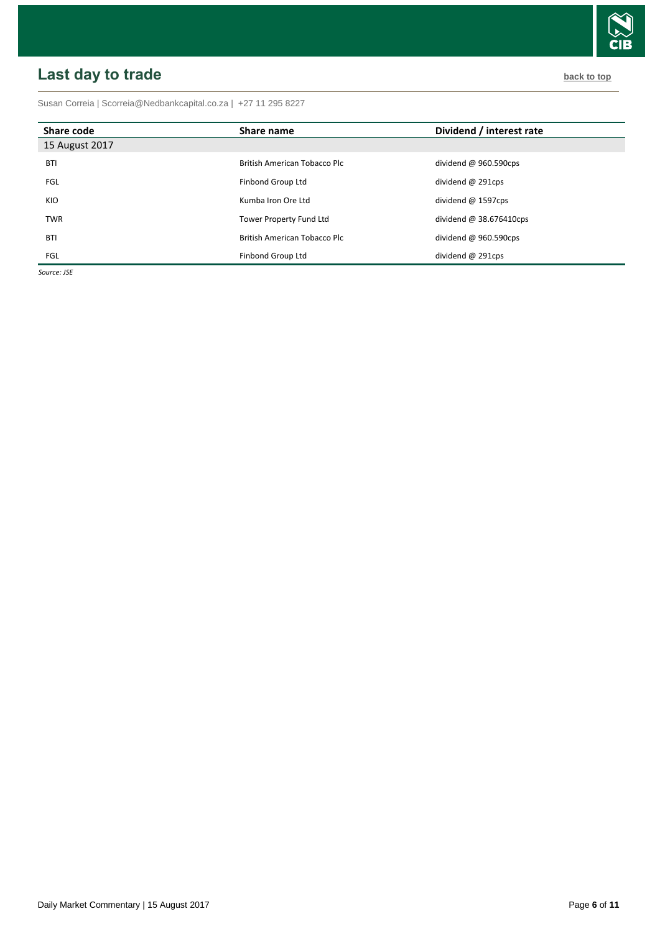# <span id="page-5-0"></span>**Last day to trade back to the contract of the contract of the contract of the contract of the contract of the contract of the contract of the contract of the contract of the contract of the contract of the contract of t**

Susan Correia [| Scorreia@Nedbankcapital.co.za](mailto:Scorreia@Nedbankcapital.co.za) | +27 11 295 8227

| Share code     | Share name                          | Dividend / interest rate |
|----------------|-------------------------------------|--------------------------|
| 15 August 2017 |                                     |                          |
| <b>BTI</b>     | <b>British American Tobacco Plc</b> | dividend @ $960.590$ cps |
| <b>FGL</b>     | Finbond Group Ltd                   | dividend $@$ 291cps      |
| KIO            | Kumba Iron Ore Ltd                  | dividend $@$ 1597cps     |
| <b>TWR</b>     | Tower Property Fund Ltd             | dividend $@38.676410cps$ |
| <b>BTI</b>     | British American Tobacco Plc        | dividend @ 960.590cps    |
| <b>FGL</b>     | Finbond Group Ltd                   | dividend @ 291cps        |

*Source: JSE*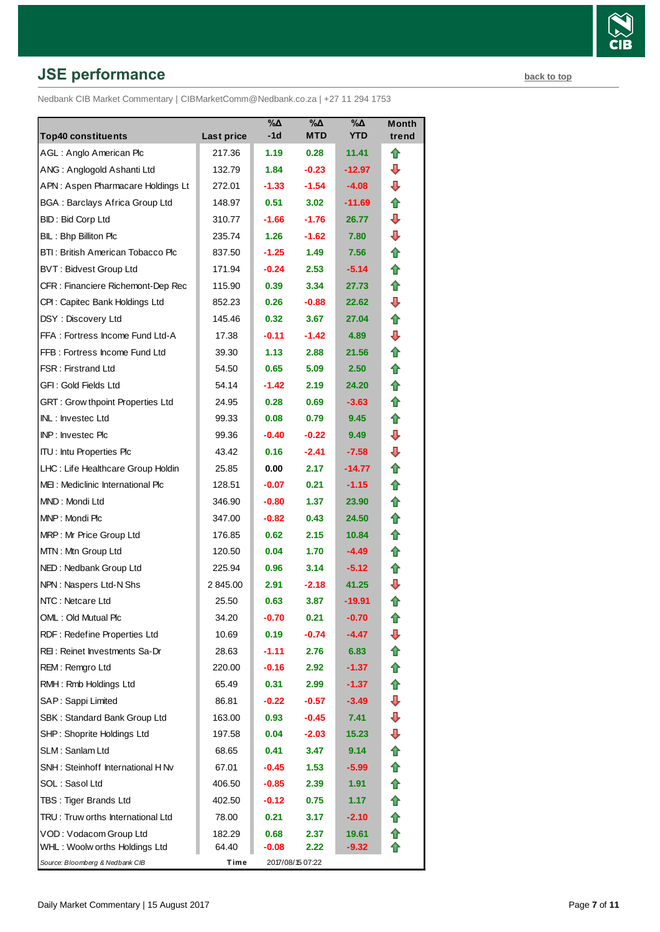# **JSE performance [back to top](#page-0-0) back to top**

Nedbank CIB Market Commentary | CIBMarketComm@Nedbank.co.za | +27 11 294 1753

| <b>Top40 constituents</b>             | Last price | %Δ<br>-1d         | %Δ<br><b>MTD</b>  | %Δ<br><b>YTD</b> | Month<br>trend |
|---------------------------------------|------------|-------------------|-------------------|------------------|----------------|
| AGL: Anglo American Plc               | 217.36     | 1.19              | 0.28              | 11.41            | ⇑              |
| ANG: Anglogold Ashanti Ltd            | 132.79     | 1.84              | $-0.23$           | $-12.97$         | ⊕              |
| APN: Aspen Pharmacare Holdings Lt     | 272.01     | $-1.33$           | $-1.54$           | $-4.08$          | ⊕              |
| <b>BGA: Barclays Africa Group Ltd</b> | 148.97     | 0.51              | 3.02              | -11.69           | ⇑              |
| BID: Bid Corp Ltd                     | 310.77     | $-1.66$           | $-1.76$           | 26.77            | ⊕              |
| BIL: Bhp Billiton Plc                 | 235.74     | 1.26              | $-1.62$           | 7.80             | ⊕              |
| BTI: British American Tobacco Plc     | 837.50     | $-1.25$           | 1.49              | 7.56             | ⇑              |
| <b>BVT: Bidvest Group Ltd</b>         | 171.94     | $-0.24$           | 2.53              | $-5.14$          | ⇑              |
| CFR : Financiere Richemont-Dep Rec    | 115.90     | 0.39              | 3.34              | 27.73            | ⇑              |
| CPI: Capitec Bank Holdings Ltd        | 852.23     | 0.26              | $-0.88$           | 22.62            | ⊕              |
| DSY: Discovery Ltd                    | 145.46     | 0.32 <sub>1</sub> | 3.67              | 27.04            | ⇑              |
| FFA: Fortress Income Fund Ltd-A       | 17.38      | $-0.11$           | $-1.42$           | 4.89             | ┺              |
| FFB: Fortress Income Fund Ltd         | 39.30      | 1.13              | 2.88              | 21.56            | ⇑              |
| <b>FSR: Firstrand Ltd</b>             | 54.50      | 0.65              | 5.09              | 2.50             | ⇑              |
| GFI: Gold Fields Ltd                  | 54.14      | $-1.42$           | 2.19              | 24.20            | n              |
| GRT : Grow thpoint Properties Ltd     | 24.95      | 0.28              | 0.69              | $-3.63$          | ⇑              |
| INL: Investec Ltd                     | 99.33      | 0.08              | 0.79              | 9.45             | ⇑              |
| <b>INP:</b> Invested Plc              | 99.36      | $-0.40$           | $-0.22$           | 9.49             | ⊕              |
| <b>ITU:</b> Intu Properties Plc       | 43.42      | 0.16              | $-2.41$           | $-7.58$          | ⊕              |
| LHC: Life Healthcare Group Holdin     | 25.85      | 0.00              | 2.17              | -14.77           | ⇑              |
| MEI: Mediclinic International Plc     | 128.51     | $-0.07$           | 0.21              | $-1.15$          | ⇑              |
| MND: Mondi Ltd                        | 346.90     | $-0.80$           | 1.37              | 23.90            | ⇑              |
| MNP: Mondi Plc                        | 347.00     | $-0.82$           | 0.43              | 24.50            | ⇑              |
| MRP: Mr Price Group Ltd               | 176.85     | 0.62              | 2.15              | 10.84            | ⇑              |
| MTN: Mtn Group Ltd                    | 120.50     | 0.04              | 1.70              | $-4.49$          | ⇑              |
| NED: Nedbank Group Ltd                | 225.94     | 0.96              | 3.14              | $-5.12$          | ⇑              |
| NPN: Naspers Ltd-N Shs                | 2 845.00   | 2.91              | $-2.18$           | 41.25            | ⊕              |
| NTC: Netcare Ltd                      | 25.50      | 0.63              | 3.87              | -19.91           | ⇑              |
| OML: Old Mutual Plc                   | 34.20      | $-0.70$           | 0.21              | $-0.70$          | €              |
| RDF: Redefine Properties Ltd          | 10.69      | 0.19              | $-0.74$           | $-4.47$          | J              |
| REI: Reinet Investments Sa-Dr         | 28.63      | $-1.11$           | 2.76              | 6.83             | ⇑              |
| REM: Remgro Ltd                       | 220.00     | $-0.16$           | 2.92 <sub>1</sub> | $-1.37$          | ⇑              |
| RMH: Rmb Holdings Ltd                 | 65.49      | 0.31              | 2.99              | $-1.37$          | ⇑              |
| SAP: Sappi Limited                    | 86.81      | $-0.22$           | $-0.57$           | -3.49            | ⇩              |
| SBK: Standard Bank Group Ltd          | 163.00     | 0.93              | $-0.45$           | 7.41             | ⇩              |
| SHP: Shoprite Holdings Ltd            | 197.58     | 0.04              | $-2.03$           | 15.23            | ⊕              |
| SLM: Sanlam Ltd                       | 68.65      | 0.41              | 3.47              | 9.14             |                |
| SNH: Steinhoff International H Nv     | 67.01      | -0.45             | 1.53              | -5.99            | ✿              |
| SOL: Sasol Ltd                        | 406.50     | $-0.85$           | 2.39              | 1.91             | ⇑              |
| TBS: Tiger Brands Ltd                 | 402.50     | $-0.12$           | 0.75              | 1.17             | ⇑              |
| TRU: Truw orths International Ltd     | 78.00      | 0.21              | 3.17              | -2.10            |                |
| VOD: Vodacom Group Ltd                | 182.29     | 0.68              | 2.37              | 19.61            | ⇑              |
| WHL: Woolw orths Holdings Ltd         | 64.40      | -0.08             | 2.22              | $-9.32$          | ⋒              |
| Source: Bloomberg & Nedbank CIB       | Time       |                   | 2017/08/15 07:22  |                  |                |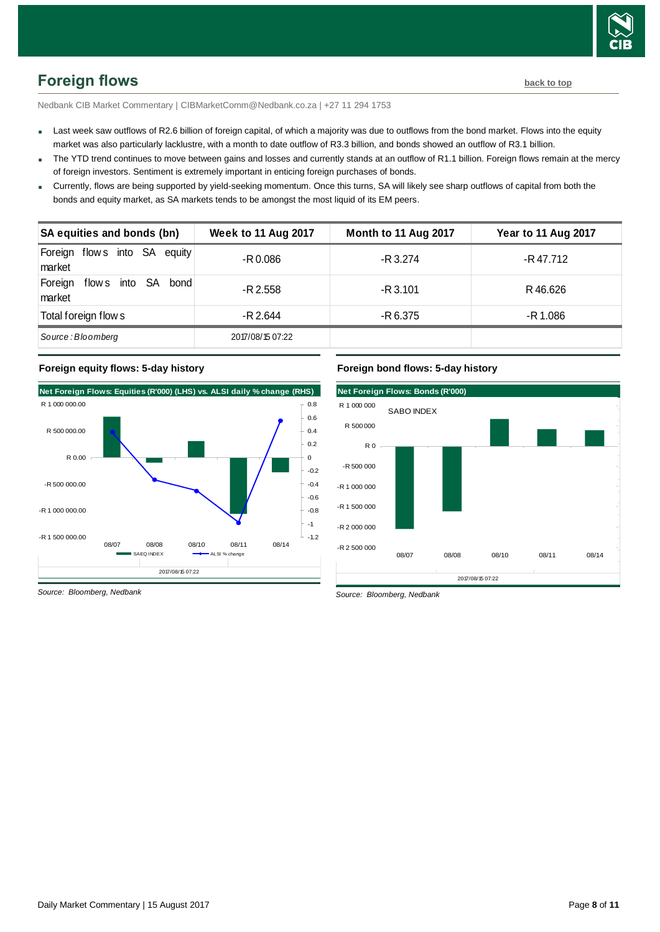

<span id="page-7-0"></span>Nedbank CIB Market Commentary | CIBMarketComm@Nedbank.co.za | +27 11 294 1753

- Last week saw outflows of R2.6 billion of foreign capital, of which a majority was due to outflows from the bond market. Flows into the equity market was also particularly lacklustre, with a month to date outflow of R3.3 billion, and bonds showed an outflow of R3.1 billion.
- The YTD trend continues to move between gains and losses and currently stands at an outflow of R1.1 billion. Foreign flows remain at the mercy of foreign investors. Sentiment is extremely important in enticing foreign purchases of bonds.
- Currently, flows are being supported by yield-seeking momentum. Once this turns, SA will likely see sharp outflows of capital from both the bonds and equity market, as SA markets tends to be amongst the most liquid of its EM peers.

|                                            | borroo dira oquity mantol, do or timantolo tondo to bo diriongol tho moot ilquid or ito Em pooro. |                      |                            |
|--------------------------------------------|---------------------------------------------------------------------------------------------------|----------------------|----------------------------|
| SA equities and bonds (bn)                 | <b>Week to 11 Aug 2017</b>                                                                        | Month to 11 Aug 2017 | <b>Year to 11 Aug 2017</b> |
| Foreign flows into SA equity<br>market     | -R 0.086                                                                                          | -R 3.274             | -R 47.712                  |
| flows into SA<br>bond<br>Foreign<br>market | -R 2.558                                                                                          | $-R$ 3.101           | R46.626                    |
| Total foreign flow s                       | $-R$ 2.644                                                                                        | -R 6.375             | -R 1.086                   |
| Source: Bloomberg                          | 2017/08/15 07:22                                                                                  |                      |                            |

#### **Foreign equity flows: 5-day history**



### **Net Foreign Flows: Bonds (R'000)**  2017/08/15 07:22 -R 2 500 000 -R 2 000 000 -R 1 500 000 -R 1 000 000 -R 500 000  $R<sub>0</sub>$ R 500 000 R 1 000 000 08/07 08/08 08/10 08/11 08/14 SABO INDEX

*Source: Bloomberg, Nedbank*

*Source: Bloomberg, Nedbank*

**Foreign bond flows: 5-day history**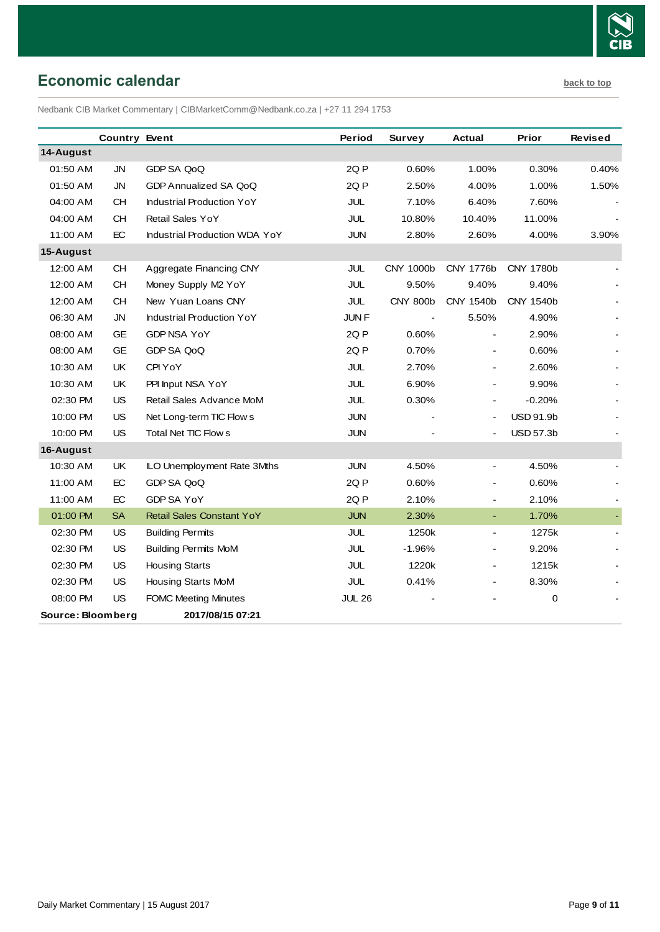

# <span id="page-8-0"></span>**Economic calendar [back to top](#page-0-0)**

Nedbank CIB Market Commentary | CIBMarketComm@Nedbank.co.za | +27 11 294 1753

|                   | <b>Country Event</b> |                                  | Period        | <b>Survey</b>   | <b>Actual</b>            | Prior            | <b>Revised</b> |
|-------------------|----------------------|----------------------------------|---------------|-----------------|--------------------------|------------------|----------------|
| 14-August         |                      |                                  |               |                 |                          |                  |                |
| 01:50 AM          | <b>JN</b>            | GDP SA QoQ                       | 2Q P          | 0.60%           | 1.00%                    | 0.30%            | 0.40%          |
| 01:50 AM          | JN                   | GDP Annualized SA QoQ            | 2QP           | 2.50%           | 4.00%                    | 1.00%            | 1.50%          |
| 04:00 AM          | <b>CH</b>            | <b>Industrial Production YoY</b> | JUL           | 7.10%           | 6.40%                    | 7.60%            |                |
| 04:00 AM          | <b>CH</b>            | <b>Retail Sales YoY</b>          | JUL           | 10.80%          | 10.40%                   | 11.00%           |                |
| 11:00 AM          | EC                   | Industrial Production WDA YoY    | <b>JUN</b>    | 2.80%           | 2.60%                    | 4.00%            | 3.90%          |
| 15-August         |                      |                                  |               |                 |                          |                  |                |
| 12:00 AM          | <b>CH</b>            | Aggregate Financing CNY          | <b>JUL</b>    | CNY 1000b       | CNY 1776b                | <b>CNY 1780b</b> |                |
| 12:00 AM          | <b>CH</b>            | Money Supply M2 YoY              | <b>JUL</b>    | 9.50%           | 9.40%                    | 9.40%            |                |
| 12:00 AM          | <b>CH</b>            | New Yuan Loans CNY               | JUL           | <b>CNY 800b</b> | CNY 1540b                | CNY 1540b        |                |
| 06:30 AM          | <b>JN</b>            | <b>Industrial Production YoY</b> | JUN F         |                 | 5.50%                    | 4.90%            |                |
| 08:00 AM          | <b>GE</b>            | <b>GDP NSA YoY</b>               | 2QP           | 0.60%           |                          | 2.90%            |                |
| 08:00 AM          | <b>GE</b>            | GDP SA QoQ                       | 2QP           | 0.70%           | $\blacksquare$           | 0.60%            |                |
| 10:30 AM          | UK                   | CPI YoY                          | <b>JUL</b>    | 2.70%           | $\blacksquare$           | 2.60%            |                |
| 10:30 AM          | UK                   | PPI Input NSA YoY                | JUL           | 6.90%           |                          | 9.90%            |                |
| 02:30 PM          | US                   | Retail Sales Advance MoM         | JUL           | 0.30%           | $\overline{\phantom{a}}$ | $-0.20%$         |                |
| 10:00 PM          | <b>US</b>            | Net Long-term TIC Flow s         | <b>JUN</b>    |                 | $\blacksquare$           | <b>USD 91.9b</b> |                |
| 10:00 PM          | <b>US</b>            | Total Net TIC Flow s             | <b>JUN</b>    |                 | $\blacksquare$           | <b>USD 57.3b</b> |                |
| 16-August         |                      |                                  |               |                 |                          |                  |                |
| 10:30 AM          | UK                   | ILO Unemployment Rate 3Mths      | <b>JUN</b>    | 4.50%           | $\blacksquare$           | 4.50%            |                |
| 11:00 AM          | EC                   | GDP SA QoQ                       | 2QP           | 0.60%           | $\blacksquare$           | 0.60%            |                |
| 11:00 AM          | EC                   | GDP SA YoY                       | 2QP           | 2.10%           | $\blacksquare$           | 2.10%            |                |
| 01:00 PM          | <b>SA</b>            | <b>Retail Sales Constant YoY</b> | <b>JUN</b>    | 2.30%           | $\blacksquare$           | 1.70%            |                |
| 02:30 PM          | <b>US</b>            | <b>Building Permits</b>          | <b>JUL</b>    | 1250k           | $\blacksquare$           | 1275k            |                |
| 02:30 PM          | US                   | <b>Building Permits MoM</b>      | JUL           | $-1.96%$        | $\blacksquare$           | 9.20%            |                |
| 02:30 PM          | <b>US</b>            | <b>Housing Starts</b>            | <b>JUL</b>    | 1220k           | $\blacksquare$           | 1215k            |                |
| 02:30 PM          | <b>US</b>            | Housing Starts MoM               | JUL           | 0.41%           |                          | 8.30%            |                |
| 08:00 PM          | <b>US</b>            | <b>FOMC Meeting Minutes</b>      | <b>JUL 26</b> |                 |                          | 0                |                |
| Source: Bloomberg |                      | 2017/08/15 07:21                 |               |                 |                          |                  |                |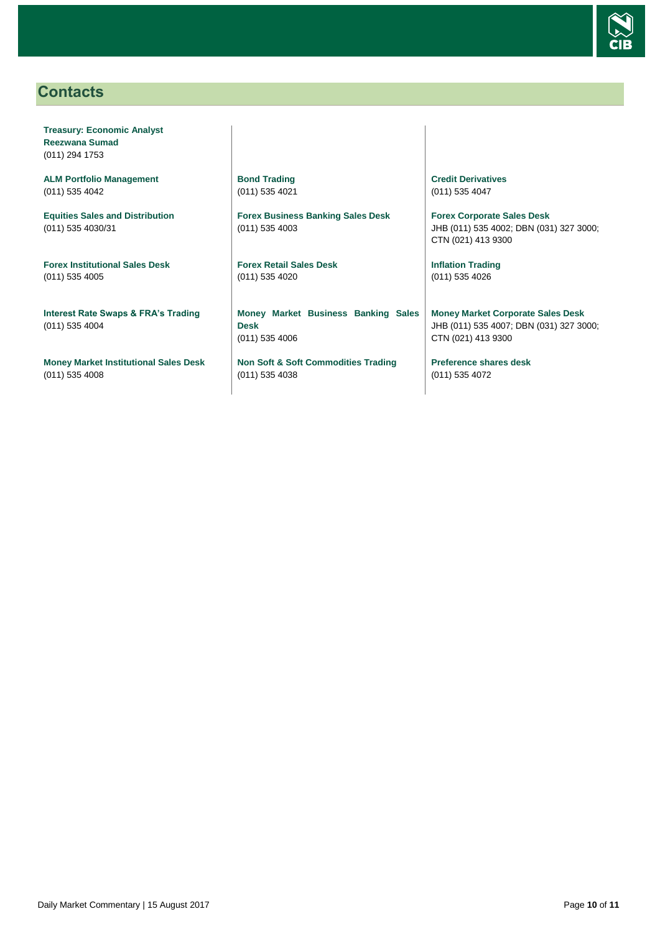

# <span id="page-9-0"></span>**Contacts**

**Treasury: Economic Analyst Reezwana Sumad** (011) 294 1753

**ALM Portfolio Management** (011) 535 4042

**Equities Sales and Distribution** (011) 535 4030/31

**Forex Institutional Sales Desk** (011) 535 4005

**Interest Rate Swaps & FRA's Trading** (011) 535 4004

**Money Market Institutional Sales Desk** (011) 535 4008

**Bond Trading** (011) 535 4021

**Forex Business Banking Sales Desk** (011) 535 4003

**Forex Retail Sales Desk** (011) 535 4020

**Money Market Business Banking Sales Desk** (011) 535 4006

**Non Soft & Soft Commodities Trading** (011) 535 4038

**Credit Derivatives**  (011) 535 4047

**Forex Corporate Sales Desk** JHB (011) 535 4002; DBN (031) 327 3000; CTN (021) 413 9300

**Inflation Trading** (011) 535 4026

**Money Market Corporate Sales Desk** JHB (011) 535 4007; DBN (031) 327 3000; CTN (021) 413 9300

**Preference shares desk** (011) 535 4072